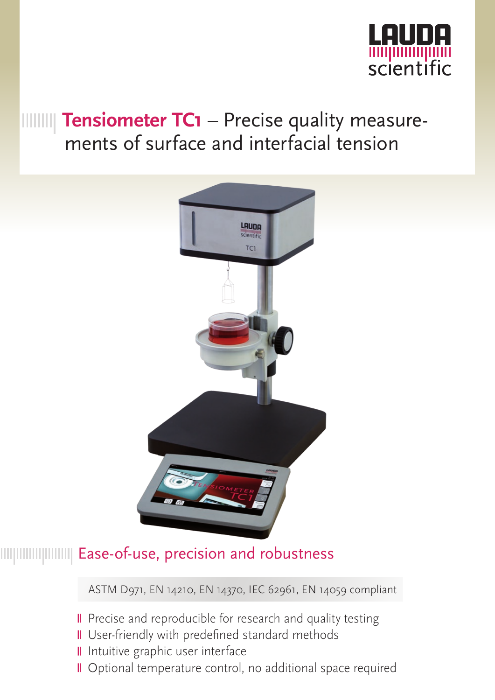

# **THILLET THEOF THEOF TC1** – Precise quality measurements of surface and interfacial tension



## Ease-of-use, precision and robustness

ASTM D971, EN 14210, EN 14370, IEC 62961, EN 14059 compliant

- **II** Precise and reproducible for research and quality testing
- **II** User-friendly with predefined standard methods
- Il Intuitive graphic user interface
- Optional temperature control, no additional space required